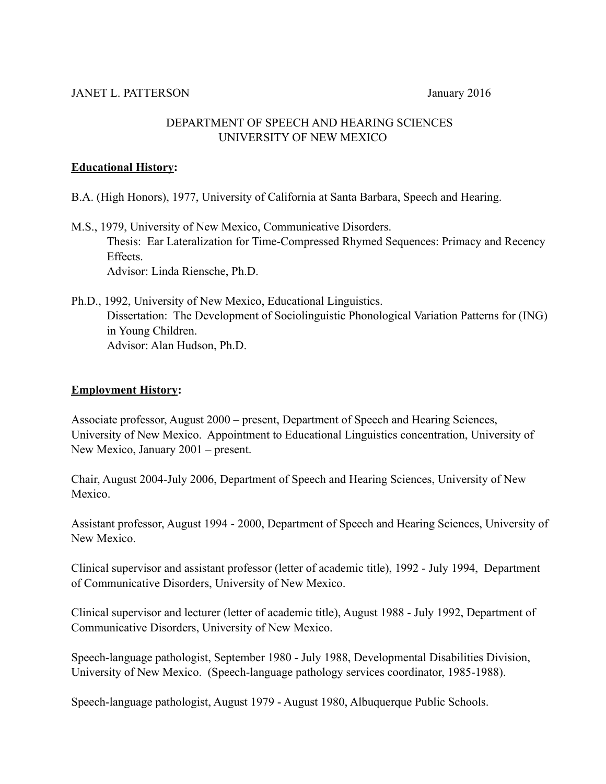# DEPARTMENT OF SPEECH AND HEARING SCIENCES UNIVERSITY OF NEW MEXICO

# **Educational History:**

- B.A. (High Honors), 1977, University of California at Santa Barbara, Speech and Hearing.
- M.S., 1979, University of New Mexico, Communicative Disorders. Thesis: Ear Lateralization for Time-Compressed Rhymed Sequences: Primacy and Recency Effects. Advisor: Linda Riensche, Ph.D.
- Ph.D., 1992, University of New Mexico, Educational Linguistics. Dissertation: The Development of Sociolinguistic Phonological Variation Patterns for (ING) in Young Children. Advisor: Alan Hudson, Ph.D.

# **Employment History:**

Associate professor, August 2000 – present, Department of Speech and Hearing Sciences, University of New Mexico. Appointment to Educational Linguistics concentration, University of New Mexico, January 2001 – present.

Chair, August 2004-July 2006, Department of Speech and Hearing Sciences, University of New Mexico.

Assistant professor, August 1994 - 2000, Department of Speech and Hearing Sciences, University of New Mexico.

Clinical supervisor and assistant professor (letter of academic title), 1992 - July 1994, Department of Communicative Disorders, University of New Mexico.

Clinical supervisor and lecturer (letter of academic title), August 1988 - July 1992, Department of Communicative Disorders, University of New Mexico.

Speech-language pathologist, September 1980 - July 1988, Developmental Disabilities Division, University of New Mexico. (Speech-language pathology services coordinator, 1985-1988).

Speech-language pathologist, August 1979 - August 1980, Albuquerque Public Schools.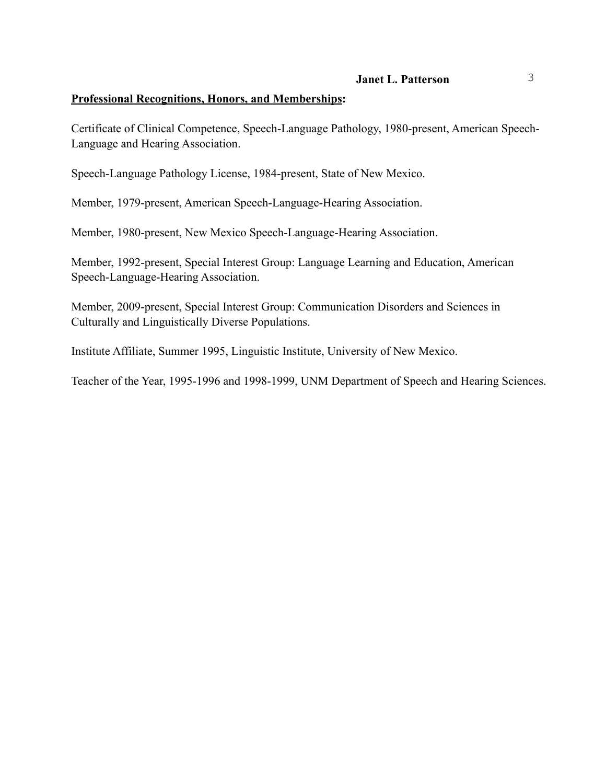#### **Professional Recognitions, Honors, and Memberships:**

Certificate of Clinical Competence, Speech-Language Pathology, 1980-present, American Speech-Language and Hearing Association.

Speech-Language Pathology License, 1984-present, State of New Mexico.

Member, 1979-present, American Speech-Language-Hearing Association.

Member, 1980-present, New Mexico Speech-Language-Hearing Association.

Member, 1992-present, Special Interest Group: Language Learning and Education, American Speech-Language-Hearing Association.

Member, 2009-present, Special Interest Group: Communication Disorders and Sciences in Culturally and Linguistically Diverse Populations.

Institute Affiliate, Summer 1995, Linguistic Institute, University of New Mexico.

Teacher of the Year, 1995-1996 and 1998-1999, UNM Department of Speech and Hearing Sciences.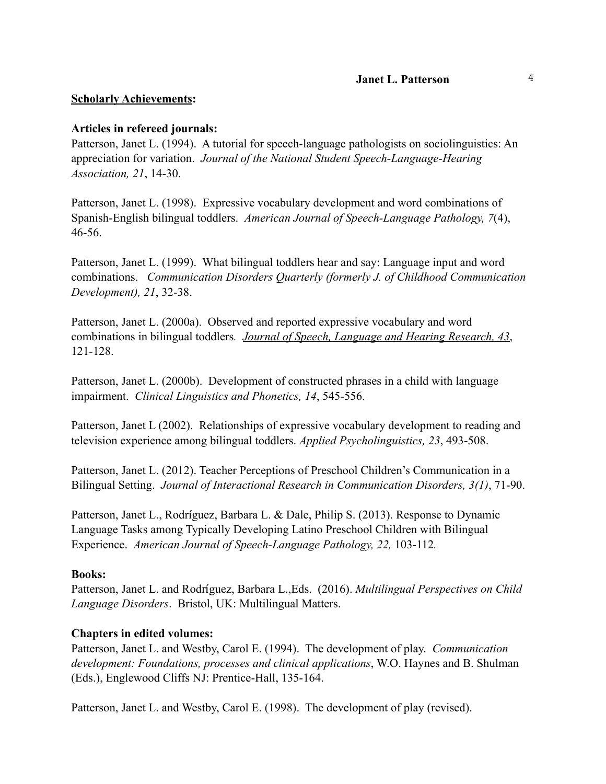#### **Scholarly Achievements:**

### **Articles in refereed journals:**

Patterson, Janet L. (1994). A tutorial for speech-language pathologists on sociolinguistics: An appreciation for variation. *Journal of the National Student Speech-Language-Hearing Association, 21*, 14-30.

Patterson, Janet L. (1998). Expressive vocabulary development and word combinations of Spanish-English bilingual toddlers. *American Journal of Speech-Language Pathology, 7*(4), 46-56.

Patterson, Janet L. (1999). What bilingual toddlers hear and say: Language input and word combinations. *Communication Disorders Quarterly (formerly J. of Childhood Communication Development), 21*, 32-38.

Patterson, Janet L. (2000a). Observed and reported expressive vocabulary and word combinations in bilingual toddlers*. Journal of Speech, Language and Hearing Research, 43*, 121-128.

Patterson, Janet L. (2000b). Development of constructed phrases in a child with language impairment. *Clinical Linguistics and Phonetics, 14*, 545-556.

Patterson, Janet L (2002). Relationships of expressive vocabulary development to reading and television experience among bilingual toddlers. *Applied Psycholinguistics, 23*, 493-508.

Patterson, Janet L. (2012). Teacher Perceptions of Preschool Children's Communication in a Bilingual Setting. *Journal of Interactional Research in Communication Disorders, 3(1)*, 71-90.

Patterson, Janet L., Rodríguez, Barbara L. & Dale, Philip S. (2013). Response to Dynamic Language Tasks among Typically Developing Latino Preschool Children with Bilingual Experience. *American Journal of Speech-Language Pathology, 22,* 103-112*.*

#### **Books:**

Patterson, Janet L. and Rodríguez, Barbara L.,Eds. (2016). *Multilingual Perspectives on Child Language Disorders*. Bristol, UK: Multilingual Matters.

# **Chapters in edited volumes:**

Patterson, Janet L. and Westby, Carol E. (1994). The development of play. *Communication development: Foundations, processes and clinical applications*, W.O. Haynes and B. Shulman (Eds.), Englewood Cliffs NJ: Prentice-Hall, 135-164.

Patterson, Janet L. and Westby, Carol E. (1998). The development of play (revised).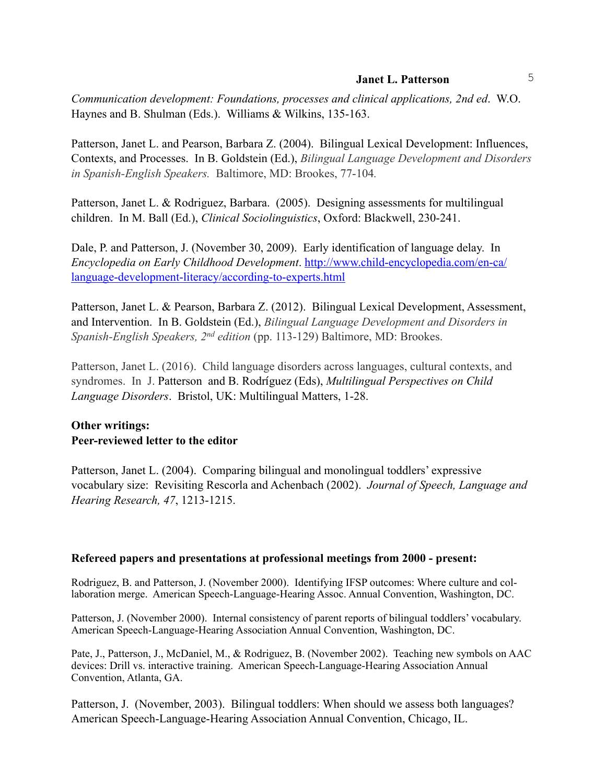*Communication development: Foundations, processes and clinical applications, 2nd ed*. W.O. Haynes and B. Shulman (Eds.). Williams & Wilkins, 135-163.

Patterson, Janet L. and Pearson, Barbara Z. (2004). Bilingual Lexical Development: Influences, Contexts, and Processes. In B. Goldstein (Ed.), *Bilingual Language Development and Disorders in Spanish-English Speakers.* Baltimore, MD: Brookes, 77-104*.*

Patterson, Janet L. & Rodriguez, Barbara. (2005). Designing assessments for multilingual children. In M. Ball (Ed.), *Clinical Sociolinguistics*, Oxford: Blackwell, 230-241.

Dale, P. and Patterson, J. (November 30, 2009).Early identification of language delay. In *Encyclopedia on Early Childhood Development*. http://www.child-encyclopedia.com/en-ca/ [language-development-literacy/according-to-experts.html](http://www.child-encyclopedia.com/en-ca/language-development-literacy/according-to-experts.html)

Patterson, Janet L. & Pearson, Barbara Z. (2012). Bilingual Lexical Development, Assessment, and Intervention. In B. Goldstein (Ed.), *Bilingual Language Development and Disorders in Spanish-English Speakers, 2nd edition* (pp. 113-129) Baltimore, MD: Brookes.

Patterson, Janet L. (2016). Child language disorders across languages, cultural contexts, and syndromes. In J. Patterson and B. Rodríguez (Eds), *Multilingual Perspectives on Child Language Disorders*. Bristol, UK: Multilingual Matters, 1-28.

# **Other writings: Peer-reviewed letter to the editor**

Patterson, Janet L. (2004). Comparing bilingual and monolingual toddlers' expressive vocabulary size: Revisiting Rescorla and Achenbach (2002). *Journal of Speech, Language and Hearing Research, 47*, 1213-1215.

#### **Refereed papers and presentations at professional meetings from 2000 - present:**

Rodriguez, B. and Patterson, J. (November 2000). Identifying IFSP outcomes: Where culture and collaboration merge. American Speech-Language-Hearing Assoc. Annual Convention, Washington, DC.

Patterson, J. (November 2000). Internal consistency of parent reports of bilingual toddlers' vocabulary. American Speech-Language-Hearing Association Annual Convention, Washington, DC.

Pate, J., Patterson, J., McDaniel, M., & Rodriguez, B. (November 2002). Teaching new symbols on AAC devices: Drill vs. interactive training. American Speech-Language-Hearing Association Annual Convention, Atlanta, GA.

Patterson, J. (November, 2003). Bilingual toddlers: When should we assess both languages? American Speech-Language-Hearing Association Annual Convention, Chicago, IL.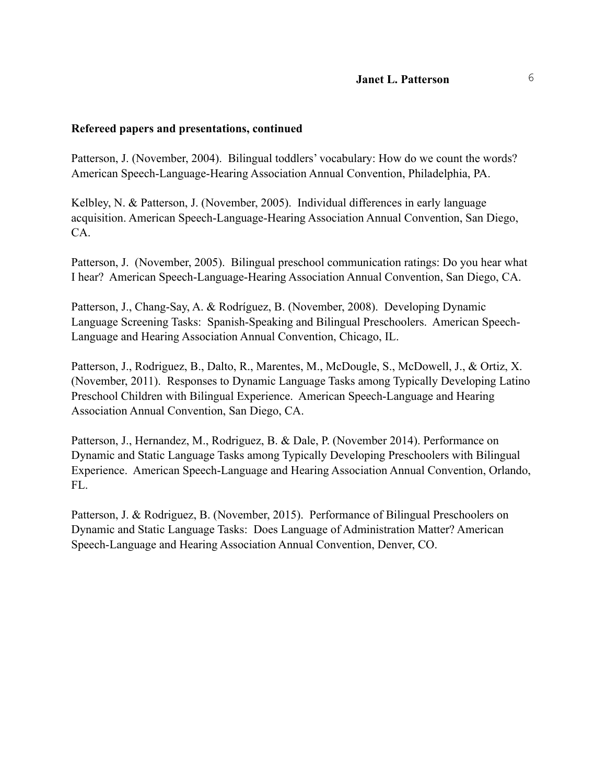#### **Refereed papers and presentations, continued**

Patterson, J. (November, 2004). Bilingual toddlers' vocabulary: How do we count the words? American Speech-Language-Hearing Association Annual Convention, Philadelphia, PA.

Kelbley, N. & Patterson, J. (November, 2005). Individual differences in early language acquisition. American Speech-Language-Hearing Association Annual Convention, San Diego, CA.

Patterson, J. (November, 2005). Bilingual preschool communication ratings: Do you hear what I hear? American Speech-Language-Hearing Association Annual Convention, San Diego, CA.

Patterson, J., Chang-Say, A. & Rodríguez, B. (November, 2008). Developing Dynamic Language Screening Tasks: Spanish-Speaking and Bilingual Preschoolers. American Speech-Language and Hearing Association Annual Convention, Chicago, IL.

Patterson, J., Rodriguez, B., Dalto, R., Marentes, M., McDougle, S., McDowell, J., & Ortiz, X. (November, 2011). Responses to Dynamic Language Tasks among Typically Developing Latino Preschool Children with Bilingual Experience. American Speech-Language and Hearing Association Annual Convention, San Diego, CA.

Patterson, J., Hernandez, M., Rodriguez, B. & Dale, P. (November 2014). Performance on Dynamic and Static Language Tasks among Typically Developing Preschoolers with Bilingual Experience. American Speech-Language and Hearing Association Annual Convention, Orlando, FL.

Patterson, J. & Rodriguez, B. (November, 2015). Performance of Bilingual Preschoolers on Dynamic and Static Language Tasks: Does Language of Administration Matter? American Speech-Language and Hearing Association Annual Convention, Denver, CO.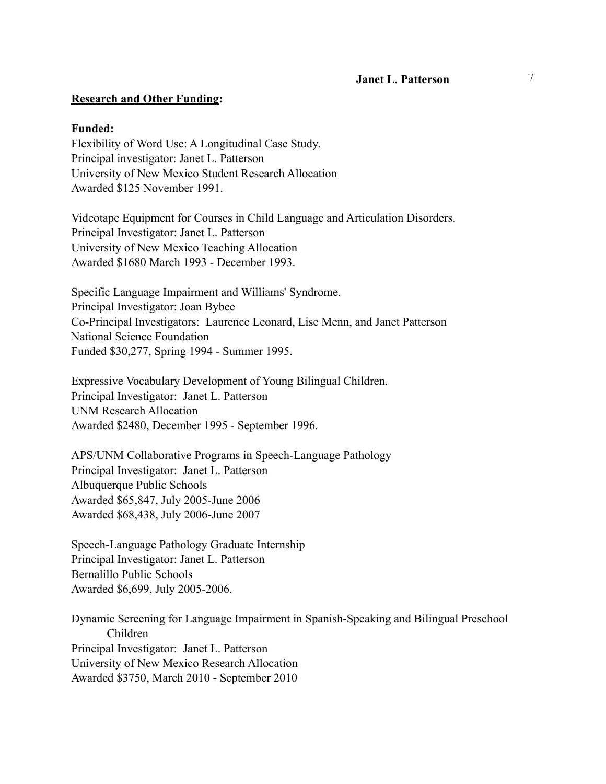#### **Research and Other Funding:**

#### **Funded:**

Flexibility of Word Use: A Longitudinal Case Study. Principal investigator: Janet L. Patterson University of New Mexico Student Research Allocation Awarded \$125 November 1991.

Videotape Equipment for Courses in Child Language and Articulation Disorders. Principal Investigator: Janet L. Patterson University of New Mexico Teaching Allocation Awarded \$1680 March 1993 - December 1993.

Specific Language Impairment and Williams' Syndrome. Principal Investigator: Joan Bybee Co-Principal Investigators: Laurence Leonard, Lise Menn, and Janet Patterson National Science Foundation Funded \$30,277, Spring 1994 - Summer 1995.

Expressive Vocabulary Development of Young Bilingual Children. Principal Investigator: Janet L. Patterson UNM Research Allocation Awarded \$2480, December 1995 - September 1996.

APS/UNM Collaborative Programs in Speech-Language Pathology Principal Investigator: Janet L. Patterson Albuquerque Public Schools Awarded \$65,847, July 2005-June 2006 Awarded \$68,438, July 2006-June 2007

Speech-Language Pathology Graduate Internship Principal Investigator: Janet L. Patterson Bernalillo Public Schools Awarded \$6,699, July 2005-2006.

Dynamic Screening for Language Impairment in Spanish-Speaking and Bilingual Preschool Children Principal Investigator: Janet L. Patterson University of New Mexico Research Allocation Awarded \$3750, March 2010 - September 2010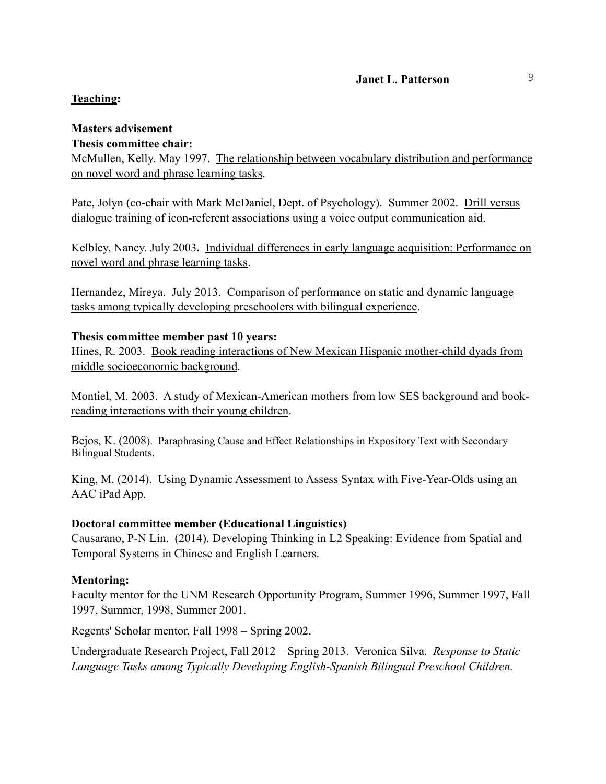### **Teaching:**

# **Masters advisement**

### **Thesis committee chair:**

McMullen, Kelly. May 1997. The relationship between vocabulary distribution and performance on novel word and phrase learning tasks.

Pate, Jolyn (co-chair with Mark McDaniel, Dept. of Psychology). Summer 2002. Drill versus dialogue training of icon-referent associations using a voice output communication aid.

Kelbley, Nancy. July 2003**.** Individual differences in early language acquisition: Performance on novel word and phrase learning tasks.

Hernandez, Mireya. July 2013. Comparison of performance on static and dynamic language tasks among typically developing preschoolers with bilingual experience.

### **Thesis committee member past 10 years:**

Hines, R. 2003. Book reading interactions of New Mexican Hispanic mother-child dyads from middle socioeconomic background.

Montiel, M. 2003. A study of Mexican-American mothers from low SES background and bookreading interactions with their young children.

Bejos, K. (2008). Paraphrasing Cause and Effect Relationships in Expository Text with Secondary Bilingual Students.

King, M. (2014). Using Dynamic Assessment to Assess Syntax with Five-Year-Olds using an AAC iPad App.

# **Doctoral committee member (Educational Linguistics)**

Causarano, P-N Lin. (2014). Developing Thinking in L2 Speaking: Evidence from Spatial and Temporal Systems in Chinese and English Learners.

# **Mentoring:**

Faculty mentor for the UNM Research Opportunity Program, Summer 1996, Summer 1997, Fall 1997, Summer, 1998, Summer 2001.

Regents' Scholar mentor, Fall 1998 – Spring 2002.

Undergraduate Research Project, Fall 2012 – Spring 2013. Veronica Silva. *Response to Static Language Tasks among Typically Developing English-Spanish Bilingual Preschool Children.*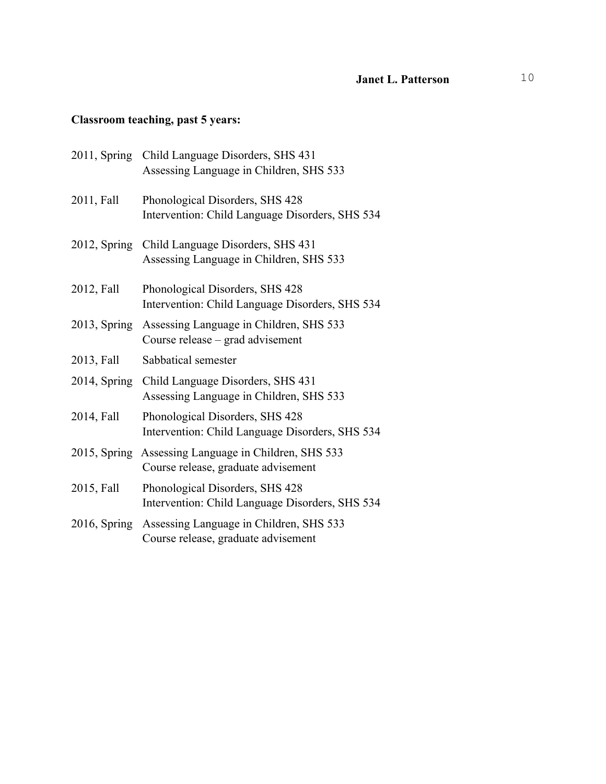# **Classroom teaching, past 5 years:**

| 2011, Spring | Child Language Disorders, SHS 431<br>Assessing Language in Children, SHS 533       |
|--------------|------------------------------------------------------------------------------------|
| 2011, Fall   | Phonological Disorders, SHS 428<br>Intervention: Child Language Disorders, SHS 534 |
| 2012, Spring | Child Language Disorders, SHS 431<br>Assessing Language in Children, SHS 533       |
| 2012, Fall   | Phonological Disorders, SHS 428<br>Intervention: Child Language Disorders, SHS 534 |
| 2013, Spring | Assessing Language in Children, SHS 533<br>Course release - grad advisement        |
| 2013, Fall   | Sabbatical semester                                                                |
| 2014, Spring | Child Language Disorders, SHS 431<br>Assessing Language in Children, SHS 533       |
| 2014, Fall   | Phonological Disorders, SHS 428<br>Intervention: Child Language Disorders, SHS 534 |
| 2015, Spring | Assessing Language in Children, SHS 533<br>Course release, graduate advisement     |
| 2015, Fall   | Phonological Disorders, SHS 428<br>Intervention: Child Language Disorders, SHS 534 |
| 2016, Spring | Assessing Language in Children, SHS 533<br>Course release, graduate advisement     |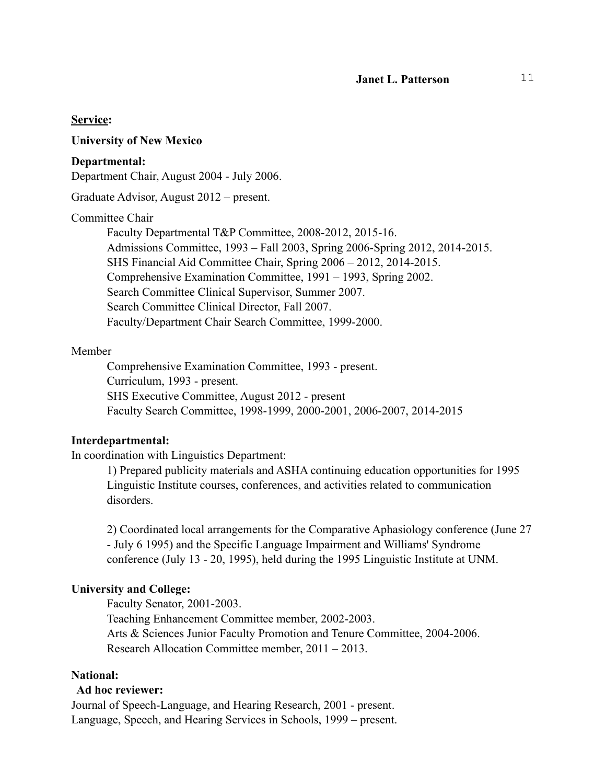#### **Service:**

#### **University of New Mexico**

#### **Departmental:**

Department Chair, August 2004 - July 2006.

Graduate Advisor, August 2012 – present.

#### Committee Chair

 Faculty Departmental T&P Committee, 2008-2012, 2015-16. Admissions Committee, 1993 – Fall 2003, Spring 2006-Spring 2012, 2014-2015. SHS Financial Aid Committee Chair, Spring 2006 – 2012, 2014-2015. Comprehensive Examination Committee, 1991 – 1993, Spring 2002. Search Committee Clinical Supervisor, Summer 2007. Search Committee Clinical Director, Fall 2007. Faculty/Department Chair Search Committee, 1999-2000.

#### Member

 Comprehensive Examination Committee, 1993 - present. Curriculum, 1993 - present. SHS Executive Committee, August 2012 - present Faculty Search Committee, 1998-1999, 2000-2001, 2006-2007, 2014-2015

#### **Interdepartmental:**

In coordination with Linguistics Department:

1) Prepared publicity materials and ASHA continuing education opportunities for 1995 Linguistic Institute courses, conferences, and activities related to communication disorders.

 2) Coordinated local arrangements for the Comparative Aphasiology conference (June 27 - July 6 1995) and the Specific Language Impairment and Williams' Syndrome conference (July 13 - 20, 1995), held during the 1995 Linguistic Institute at UNM.

#### **University and College:**

Faculty Senator, 2001-2003.

 Teaching Enhancement Committee member, 2002-2003. Arts & Sciences Junior Faculty Promotion and Tenure Committee, 2004-2006. Research Allocation Committee member, 2011 – 2013.

#### **National:**

#### **Ad hoc reviewer:**

Journal of Speech-Language, and Hearing Research, 2001 - present. Language, Speech, and Hearing Services in Schools, 1999 – present.